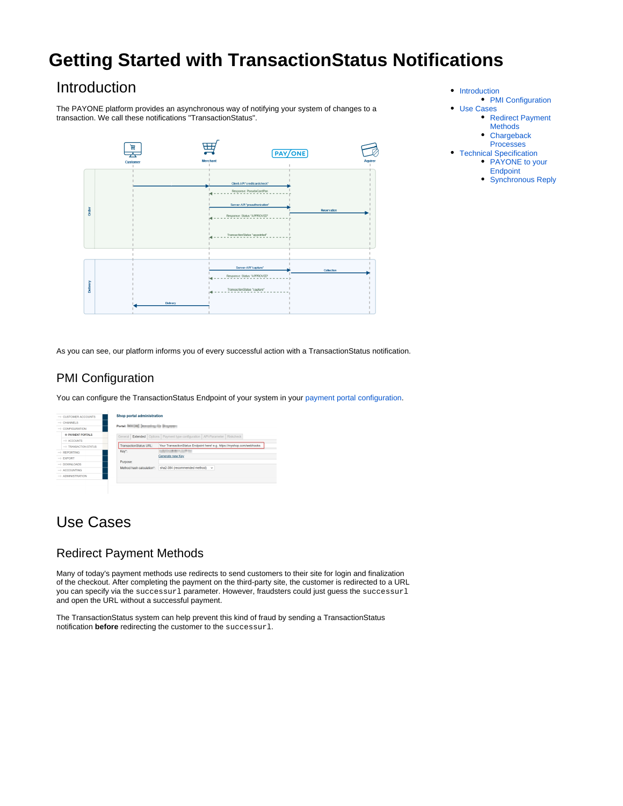# **Getting Started with TransactionStatus Notifications**

# <span id="page-0-0"></span>Introduction

The PAYONE platform provides an asynchronous way of notifying your system of changes to a transaction. We call these notifications "TransactionStatus".



- [Introduction](#page-0-0) • [PMI Configuration](#page-0-1)
- [Use Cases](#page-0-2)
	- [Redirect Payment](#page-0-3)
	- [Methods](#page-0-3)
	- [Chargeback](#page-1-0)  [Processes](#page-1-0)
- [Technical Specification](#page-1-1)
- PAYONE to your **[Endpoint](#page-2-0)** 
	- [Synchronous Reply](#page-2-1)

As you can see, our platform informs you of every successful action with a TransactionStatus notification.

### <span id="page-0-1"></span>PMI Configuration

You can configure the TransactionStatus Endpoint of your system in your [payment portal configuration.](https://docs.payone.com/display/PMI/Quick+Start+Guide+-+English#QuickStartGuide-English-ConfiguringaPaymentPortal)

| $\rightarrow$ CUSTOMER ACCOUNTS. | Shop portal administration                                                                              |
|----------------------------------|---------------------------------------------------------------------------------------------------------|
| $\rightarrow$ CHANNELS           | Portal: INDICAN Demaninguille Biogramm                                                                  |
| $\rightarrow$ CONFIGURATION      |                                                                                                         |
| <b>D. PAYMENT PORTALS</b>        | General Extended Options Payment type configuration API-Parameter Riskcheck                             |
| $\rightarrow$ ACCOUNTS           |                                                                                                         |
| -> TRANSACTION STATUS            | Your TransactionStatus Endpoint here! e.g. https://myshop.com/webhooks<br><b>TransactionStatus URL:</b> |
| $\Rightarrow$ REPORTING          | <b>CARD CORPORATION</b><br>Key*:                                                                        |
| $\rightarrow$ <b>EXPORT</b>      | Generate new Key                                                                                        |
| $\Rightarrow$ DOWNLOADS.         | Purpose:                                                                                                |
| $\rightarrow$ ACCOUNTING         | sha2-384 (recommended method) ~<br>Method hash calculation*:                                            |
| $\rightarrow$ ADMINISTRATION     |                                                                                                         |

# <span id="page-0-2"></span>Use Cases

#### <span id="page-0-3"></span>Redirect Payment Methods

Many of today's payment methods use redirects to send customers to their site for login and finalization of the checkout. After completing the payment on the third-party site, the customer is redirected to a URL you can specify via the successur1 parameter. However, fraudsters could just guess the successur1 and open the URL without a successful payment.

The TransactionStatus system can help prevent this kind of fraud by sending a TransactionStatus notification **before** redirecting the customer to the successurl.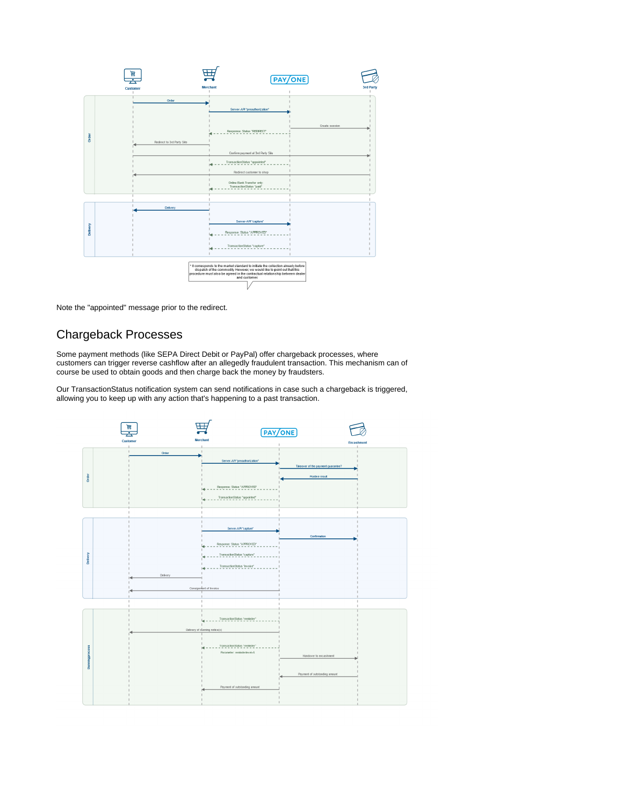

Note the "appointed" message prior to the redirect.

## <span id="page-1-0"></span>Chargeback Processes

Some payment methods (like SEPA Direct Debit or PayPal) offer chargeback processes, where customers can trigger reverse cashflow after an allegedly fraudulent transaction. This mechanism can of course be used to obtain goods and then charge back the money by fraudsters.

Our TransactionStatus notification system can send notifications in case such a chargeback is triggered, allowing you to keep up with any action that's happening to a past transaction.

<span id="page-1-1"></span>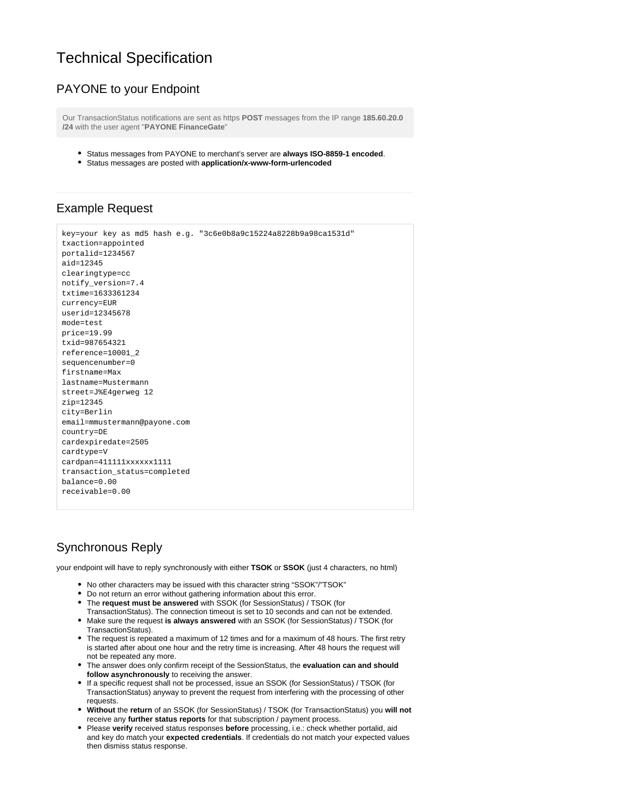# Technical Specification

#### <span id="page-2-0"></span>PAYONE to your Endpoint

Our TransactionStatus notifications are sent as https **POST** messages from the IP range **185.60.20.0 /24** with the user agent "**PAYONE FinanceGate**"

- **Status messages from PAYONE to merchant's server are always ISO-8859-1 encoded.**
- Status messages are posted with **application/x-www-form-urlencoded**

#### Example Request

```
key=your key as md5 hash e.g. "3c6e0b8a9c15224a8228b9a98ca1531d"
txaction=appointed
portalid=1234567
aid=12345
clearingtype=cc
notify_version=7.4
txtime=1633361234
currency=EUR
userid = 12345678mode=test
price=19.99
txid=987654321
reference=10001_2
sequencenumber=0
firstname=Max
lastname=Mustermann
street=J%E4gerweg 12
zip=12345
city=Berlin
email=mmustermann@payone.com
country=DE
cardexpiredate=2505
cardtype=V
cardpan=411111xxxxxx1111
transaction_status=completed
balance=0.00
receivable=0.00
```
### <span id="page-2-1"></span>Synchronous Reply

your endpoint will have to reply synchronously with either **TSOK** or **SSOK** (just 4 characters, no html)

- No other characters may be issued with this character string "SSOK"/"TSOK"
- Do not return an error without gathering information about this error.
- The **request must be answered** with SSOK (for SessionStatus) / TSOK (for
- TransactionStatus). The connection timeout is set to 10 seconds and can not be extended. Make sure the request **is always answered** with an SSOK (for SessionStatus) / TSOK (for TransactionStatus).
- The request is repeated a maximum of 12 times and for a maximum of 48 hours. The first retry is started after about one hour and the retry time is increasing. After 48 hours the request will not be repeated any more.
- The answer does only confirm receipt of the SessionStatus, the **evaluation can and should follow asynchronously** to receiving the answer.
- If a specific request shall not be processed, issue an SSOK (for SessionStatus) / TSOK (for TransactionStatus) anyway to prevent the request from interfering with the processing of other requests.
- **Without** the **return** of an SSOK (for SessionStatus) / TSOK (for TransactionStatus) you **will not** receive any **further status reports** for that subscription / payment process.
- Please **verify** received status responses **before** processing, i.e.: check whether portalid, aid and key do match your **expected credentials**. If credentials do not match your expected values then dismiss status response.